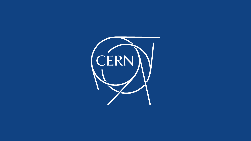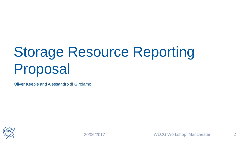# Storage Resource Reporting Proposal

Oliver Keeble and Alessandro di Girolamo



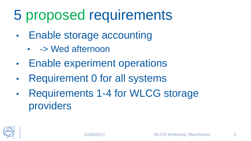### 5 proposed requirements

- Enable storage accounting
	- -> Wed afternoon
- Enable experiment operations
- Requirement 0 for all systems
- Requirements 1-4 for WLCG storage providers

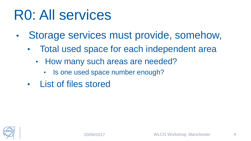#### R0: All services

- Storage services must provide, somehow,
	- Total used space for each independent area
		- How many such areas are needed?
			- Is one used space number enough?
	- List of files stored

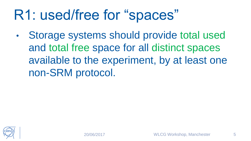### R1: used/free for "spaces"

Storage systems should provide total used and total free space for all distinct spaces available to the experiment, by at least one non-SRM protocol.

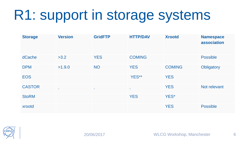### R1: support in storage systems

| <b>Storage</b> | <b>Version</b> | <b>GridFTP</b> | <b>HTTP/DAV</b> | <b>Xrootd</b> | <b>Namespace</b><br>association |
|----------------|----------------|----------------|-----------------|---------------|---------------------------------|
| dCache         | >3.2           | <b>YES</b>     | <b>COMING</b>   |               | <b>Possible</b>                 |
| <b>DPM</b>     | >1.9.0         | <b>NO</b>      | <b>YES</b>      | <b>COMING</b> | Obligatory                      |
| <b>EOS</b>     |                |                | YES**           | <b>YES</b>    |                                 |
| <b>CASTOR</b>  | $\sim$         | $\sim$         | $\sim$          | <b>YES</b>    | Not relevant                    |
| <b>StoRM</b>   |                |                | <b>YES</b>      | YES*          |                                 |
| xrootd         |                |                |                 | <b>YES</b>    | <b>Possible</b>                 |

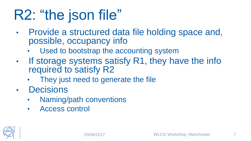## R2: "the json file"

- Provide a structured data file holding space and, possible, occupancy info
	- Used to bootstrap the accounting system
- If storage systems satisfy R1, they have the info required to satisfy R2
	- They just need to generate the file
- Decisions
	- Naming/path conventions
	- Access control

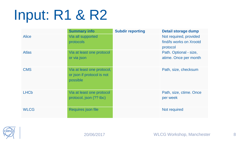### Input: R1 & R2

|                        | <b>Summary info</b>                                                  | <b>Subdir reporting</b> | <b>Detail storage dump</b>                                    |
|------------------------|----------------------------------------------------------------------|-------------------------|---------------------------------------------------------------|
| <b>Alice</b>           | Via all supported<br>protocols                                       |                         | Not required, provided<br>find/ls works on Xrootd<br>protocol |
| <b>Atlas</b>           | Via at least one protocol<br>or via json                             |                         | Path. Optional - size,<br>atime. Once per month               |
| <b>CMS</b>             | Via at least one protocol,<br>or json if protocol is not<br>possible |                         | Path, size, checksum                                          |
| <b>LHC<sub>b</sub></b> | Via at least one protocol<br>protocol, json (?? tbc)                 |                         | Path, size, ctime. Once<br>per week                           |
| <b>WLCG</b>            | Requires json file                                                   |                         | Not required                                                  |

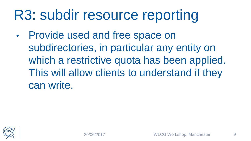### R3: subdir resource reporting

• Provide used and free space on subdirectories, in particular any entity on which a restrictive quota has been applied. This will allow clients to understand if they can write.

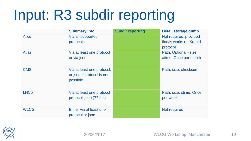## Input: R3 subdir reporting

|                        | <b>Summary info</b>                                                  | <b>Subdir reporting</b> | Detail storage dump                                           |
|------------------------|----------------------------------------------------------------------|-------------------------|---------------------------------------------------------------|
| <b>Alice</b>           | Via all supported<br>protocols                                       |                         | Not required, provided<br>find/ls works on Xrootd<br>protocol |
| <b>Atlas</b>           | Via at least one protocol<br>or via json                             |                         | Path. Optional - size,<br>atime. Once per month               |
| <b>CMS</b>             | Via at least one protocol,<br>or json if protocol is not<br>possible |                         | Path, size, checksum                                          |
| <b>LHC<sub>b</sub></b> | Via at least one protocol<br>protocol, json (?? tbc)                 |                         | Path, size, ctime. Once<br>per week                           |
| <b>WLCG</b>            | Either via at least one<br>protocol or json                          |                         | Not required                                                  |

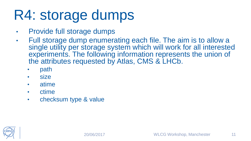### R4: storage dumps

- Provide full storage dumps
- Full storage dump enumerating each file. The aim is to allow a single utility per storage system which will work for all interested experiments. The following information represents the union of the attributes requested by Atlas, CMS & LHCb.
	- path
	- size
	- atime
	- ctime
	- checksum type & value

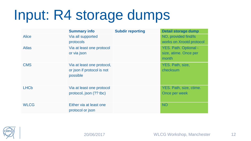### Input: R4 storage dumps

|                        | <b>Summary info</b>        | <b>Subdir reporting</b> | Detail storage dump      |
|------------------------|----------------------------|-------------------------|--------------------------|
| <b>Alice</b>           | Via all supported          |                         | NO, provided find/ls     |
|                        | protocols                  |                         | works on Xrootd protocol |
| <b>Atlas</b>           | Via at least one protocol  |                         | YES. Path. Optional -    |
|                        | or via json                |                         | size, atime. Once per    |
|                        |                            |                         | month                    |
| <b>CMS</b>             | Via at least one protocol, |                         | YES. Path, size,         |
|                        | or json if protocol is not |                         | checksum                 |
|                        | possible                   |                         |                          |
|                        |                            |                         |                          |
| <b>LHC<sub>b</sub></b> | Via at least one protocol  |                         | YES. Path, size, ctime.  |
|                        | protocol, json (?? tbc)    |                         | Once per week            |
|                        |                            |                         |                          |
| <b>WLCG</b>            | Either via at least one    |                         | <b>NO</b>                |
|                        | protocol or json           |                         |                          |